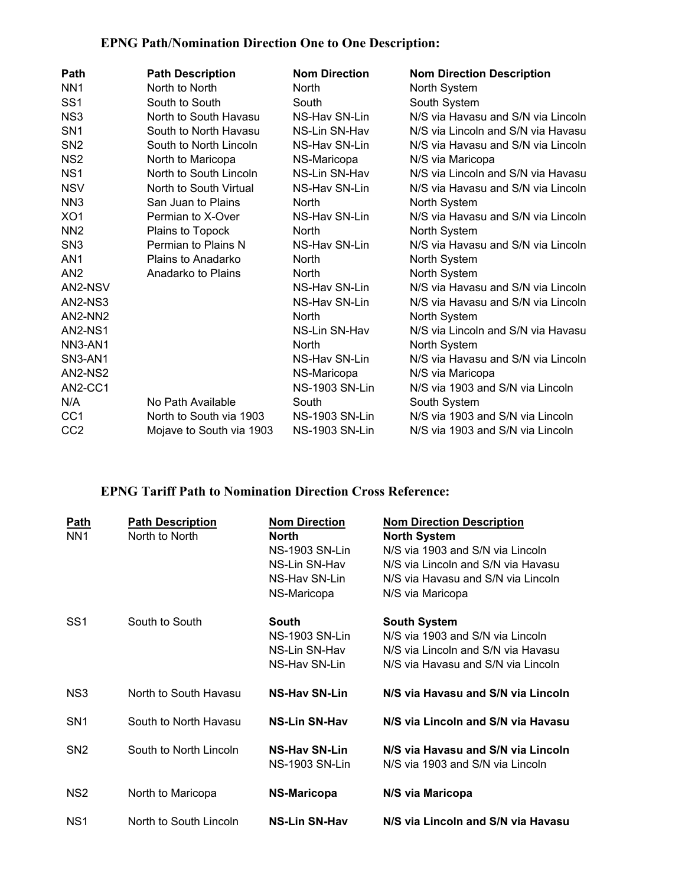## **EPNG Path/Nomination Direction One to One Description:**

| Path            | <b>Path Description</b>  | <b>Nom Direction</b>  | <b>Nom Direction Description</b>   |
|-----------------|--------------------------|-----------------------|------------------------------------|
| NN <sub>1</sub> | North to North           | North                 | North System                       |
| SS <sub>1</sub> | South to South           | South                 | South System                       |
| NS <sub>3</sub> | North to South Havasu    | NS-Hav SN-Lin         | N/S via Havasu and S/N via Lincoln |
| SN <sub>1</sub> | South to North Havasu    | NS-Lin SN-Hav         | N/S via Lincoln and S/N via Havasu |
| SN <sub>2</sub> | South to North Lincoln   | NS-Hav SN-Lin         | N/S via Havasu and S/N via Lincoln |
| NS <sub>2</sub> | North to Maricopa        | NS-Maricopa           | N/S via Maricopa                   |
| NS <sub>1</sub> | North to South Lincoln   | NS-Lin SN-Hav         | N/S via Lincoln and S/N via Havasu |
| <b>NSV</b>      | North to South Virtual   | NS-Hav SN-Lin         | N/S via Havasu and S/N via Lincoln |
| NN <sub>3</sub> | San Juan to Plains       | <b>North</b>          | North System                       |
| XO <sub>1</sub> | Permian to X-Over        | NS-Hav SN-Lin         | N/S via Havasu and S/N via Lincoln |
| NN <sub>2</sub> | Plains to Topock         | North                 | North System                       |
| SN <sub>3</sub> | Permian to Plains N      | NS-Hav SN-Lin         | N/S via Havasu and S/N via Lincoln |
| AN <sub>1</sub> | Plains to Anadarko       | <b>North</b>          | North System                       |
| AN <sub>2</sub> | Anadarko to Plains       | <b>North</b>          | North System                       |
| AN2-NSV         |                          | NS-Hav SN-Lin         | N/S via Havasu and S/N via Lincoln |
| AN2-NS3         |                          | NS-Hav SN-Lin         | N/S via Havasu and S/N via Lincoln |
| AN2-NN2         |                          | <b>North</b>          | North System                       |
| <b>AN2-NS1</b>  |                          | NS-Lin SN-Hav         | N/S via Lincoln and S/N via Havasu |
| NN3-AN1         |                          | <b>North</b>          | North System                       |
| SN3-AN1         |                          | NS-Hav SN-Lin         | N/S via Havasu and S/N via Lincoln |
| AN2-NS2         |                          | NS-Maricopa           | N/S via Maricopa                   |
| AN2-CC1         |                          | <b>NS-1903 SN-Lin</b> | N/S via 1903 and S/N via Lincoln   |
| N/A             | No Path Available        | South                 | South System                       |
| CC <sub>1</sub> | North to South via 1903  | NS-1903 SN-Lin        | N/S via 1903 and S/N via Lincoln   |
| CC <sub>2</sub> | Mojave to South via 1903 | <b>NS-1903 SN-Lin</b> | N/S via 1903 and S/N via Lincoln   |

## **EPNG Tariff Path to Nomination Direction Cross Reference:**

| <b>Path</b><br>NN <sub>1</sub> | <b>Path Description</b><br>North to North | <b>Nom Direction</b><br>North<br><b>NS-1903 SN-Lin</b><br>NS-Lin SN-Hav<br>NS-Hav SN-Lin<br>NS-Maricopa | <b>Nom Direction Description</b><br><b>North System</b><br>N/S via 1903 and S/N via Lincoln<br>N/S via Lincoln and S/N via Havasu<br>N/S via Havasu and S/N via Lincoln<br>N/S via Maricopa |
|--------------------------------|-------------------------------------------|---------------------------------------------------------------------------------------------------------|---------------------------------------------------------------------------------------------------------------------------------------------------------------------------------------------|
| SS <sub>1</sub>                | South to South                            | South<br><b>NS-1903 SN-Lin</b><br>NS-Lin SN-Hav<br>NS-Hav SN-Lin                                        | <b>South System</b><br>N/S via 1903 and S/N via Lincoln<br>N/S via Lincoln and S/N via Havasu<br>N/S via Havasu and S/N via Lincoln                                                         |
| NS3                            | North to South Havasu                     | <b>NS-Hav SN-Lin</b>                                                                                    | N/S via Havasu and S/N via Lincoln                                                                                                                                                          |
| SN <sub>1</sub>                | South to North Havasu                     | <b>NS-Lin SN-Hav</b>                                                                                    | N/S via Lincoln and S/N via Havasu                                                                                                                                                          |
| SN <sub>2</sub>                | South to North Lincoln                    | <b>NS-Hav SN-Lin</b><br><b>NS-1903 SN-Lin</b>                                                           | N/S via Havasu and S/N via Lincoln<br>N/S via 1903 and S/N via Lincoln                                                                                                                      |
| NS <sub>2</sub>                | North to Maricopa                         | <b>NS-Maricopa</b>                                                                                      | N/S via Maricopa                                                                                                                                                                            |
| NS <sub>1</sub>                | North to South Lincoln                    | <b>NS-Lin SN-Hav</b>                                                                                    | N/S via Lincoln and S/N via Havasu                                                                                                                                                          |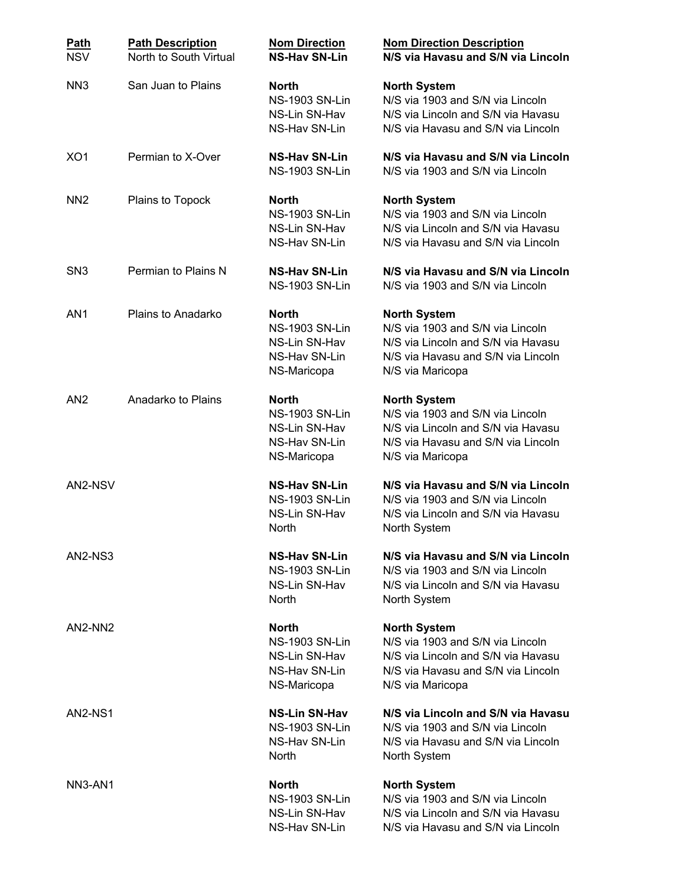| <b>Path</b><br><b>NSV</b>        | <b>Path Description</b><br>North to South Virtual | <b>Nom Direction</b><br><b>NS-Hav SN-Lin</b>                                           | <b>Nom Direction Description</b><br>N/S via Havasu and S/N via Lincoln                                                                                  |
|----------------------------------|---------------------------------------------------|----------------------------------------------------------------------------------------|---------------------------------------------------------------------------------------------------------------------------------------------------------|
| NN <sub>3</sub>                  | San Juan to Plains                                | <b>North</b><br><b>NS-1903 SN-Lin</b><br>NS-Lin SN-Hav<br>NS-Hav SN-Lin                | <b>North System</b><br>N/S via 1903 and S/N via Lincoln<br>N/S via Lincoln and S/N via Havasu<br>N/S via Havasu and S/N via Lincoln                     |
| XO <sub>1</sub>                  | Permian to X-Over                                 | <b>NS-Hav SN-Lin</b><br><b>NS-1903 SN-Lin</b>                                          | N/S via Havasu and S/N via Lincoln<br>N/S via 1903 and S/N via Lincoln                                                                                  |
| NN <sub>2</sub>                  | Plains to Topock                                  | <b>North</b><br><b>NS-1903 SN-Lin</b><br>NS-Lin SN-Hav<br>NS-Hav SN-Lin                | <b>North System</b><br>N/S via 1903 and S/N via Lincoln<br>N/S via Lincoln and S/N via Havasu<br>N/S via Havasu and S/N via Lincoln                     |
| SN <sub>3</sub>                  | Permian to Plains N                               | <b>NS-Hav SN-Lin</b><br><b>NS-1903 SN-Lin</b>                                          | N/S via Havasu and S/N via Lincoln<br>N/S via 1903 and S/N via Lincoln                                                                                  |
| AN <sub>1</sub>                  | Plains to Anadarko                                | <b>North</b><br><b>NS-1903 SN-Lin</b><br>NS-Lin SN-Hav<br>NS-Hav SN-Lin<br>NS-Maricopa | <b>North System</b><br>N/S via 1903 and S/N via Lincoln<br>N/S via Lincoln and S/N via Havasu<br>N/S via Havasu and S/N via Lincoln<br>N/S via Maricopa |
| AN <sub>2</sub>                  | Anadarko to Plains                                | <b>North</b><br><b>NS-1903 SN-Lin</b><br>NS-Lin SN-Hav<br>NS-Hav SN-Lin<br>NS-Maricopa | <b>North System</b><br>N/S via 1903 and S/N via Lincoln<br>N/S via Lincoln and S/N via Havasu<br>N/S via Havasu and S/N via Lincoln<br>N/S via Maricopa |
| AN2-NSV                          |                                                   | <b>NS-Hav SN-Lin</b><br><b>NS-1903 SN-Lin</b><br>NS-Lin SN-Hav<br><b>North</b>         | N/S via Havasu and S/N via Lincoln<br>N/S via 1903 and S/N via Lincoln<br>N/S via Lincoln and S/N via Havasu<br>North System                            |
| AN2-NS3                          |                                                   | <b>NS-Hav SN-Lin</b><br><b>NS-1903 SN-Lin</b><br>NS-Lin SN-Hav<br><b>North</b>         | N/S via Havasu and S/N via Lincoln<br>N/S via 1903 and S/N via Lincoln<br>N/S via Lincoln and S/N via Havasu<br>North System                            |
| AN2-NN2                          |                                                   | <b>North</b><br><b>NS-1903 SN-Lin</b><br>NS-Lin SN-Hav<br>NS-Hav SN-Lin<br>NS-Maricopa | <b>North System</b><br>N/S via 1903 and S/N via Lincoln<br>N/S via Lincoln and S/N via Havasu<br>N/S via Havasu and S/N via Lincoln<br>N/S via Maricopa |
| AN2-NS1                          |                                                   | <b>NS-Lin SN-Hav</b><br><b>NS-1903 SN-Lin</b><br>NS-Hav SN-Lin<br>North                | N/S via Lincoln and S/N via Havasu<br>N/S via 1903 and S/N via Lincoln<br>N/S via Havasu and S/N via Lincoln<br>North System                            |
| NN <sub>3</sub> -AN <sub>1</sub> |                                                   | <b>North</b><br><b>NS-1903 SN-Lin</b><br>NS-Lin SN-Hav<br>NS-Hav SN-Lin                | <b>North System</b><br>N/S via 1903 and S/N via Lincoln<br>N/S via Lincoln and S/N via Havasu<br>N/S via Havasu and S/N via Lincoln                     |